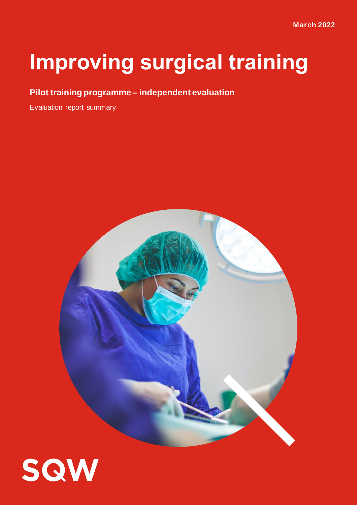# **Improving surgical training**

# **Pilot training programme – independent evaluation**

Evaluation report summary



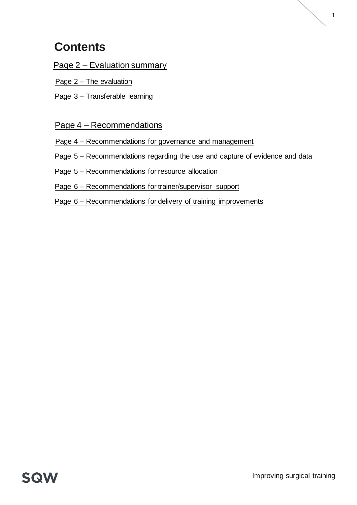# **Contents**

Page 2 – [Evaluation summary](#page-2-0)

Page 2 – [The evaluation](#page-2-1)

Page 3 – [Transferable learning](#page-3-0)

### Page 4 – [Recommendations](#page-4-0)

Page 4 – [Recommendations for governance and management](#page-4-1)

Page 5 – [Recommendations regarding the use and capture of evidence and data](#page-5-0)

Page 5 – [Recommendations for resource allocation](#page-5-1)

Page 6 – [Recommendations for trainer/supervisor support](#page-6-0)

Page 6 – [Recommendations for delivery of training improvements](#page-6-1)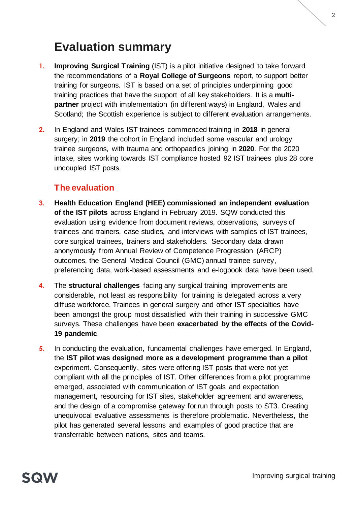# <span id="page-2-0"></span>**Evaluation summary**

- **1. Improving Surgical Training** (IST) is a pilot initiative designed to take forward the recommendations of a **Royal College of Surgeons** report, to support better training for surgeons. IST is based on a set of principles underpinning good training practices that have the support of all key stakeholders. It is a **multipartner** project with implementation (in different ways) in England, Wales and Scotland; the Scottish experience is subject to different evaluation arrangements.
- **2.** In England and Wales IST trainees commenced training in **2018** in general surgery; in **2019** the cohort in England included some vascular and urology trainee surgeons, with trauma and orthopaedics joining in **2020**. For the 2020 intake, sites working towards IST compliance hosted 92 IST trainees plus 28 core uncoupled IST posts.

# <span id="page-2-1"></span>**The evaluation**

- **3. Health Education England (HEE) commissioned an independent evaluation of the IST pilots** across England in February 2019. SQW conducted this evaluation using evidence from document reviews, observations, surveys of trainees and trainers, case studies, and interviews with samples of IST trainees, core surgical trainees, trainers and stakeholders. Secondary data drawn anonymously from Annual Review of Competence Progression (ARCP) outcomes, the General Medical Council (GMC) annual trainee survey, preferencing data, work-based assessments and e-logbook data have been used.
- **4.** The **structural challenges** facing any surgical training improvements are considerable, not least as responsibility for training is delegated across a very diffuse workforce. Trainees in general surgery and other IST specialties have been amongst the group most dissatisfied with their training in successive GMC surveys. These challenges have been **exacerbated by the effects of the Covid-19 pandemic**.
- **5.** In conducting the evaluation, fundamental challenges have emerged. In England, the **IST pilot was designed more as a development programme than a pilot** experiment. Consequently, sites were offering IST posts that were not yet compliant with all the principles of IST. Other differences from a pilot programme emerged, associated with communication of IST goals and expectation management, resourcing for IST sites, stakeholder agreement and awareness, and the design of a compromise gateway for run through posts to ST3. Creating unequivocal evaluative assessments is therefore problematic. Nevertheless, the pilot has generated several lessons and examples of good practice that are transferrable between nations, sites and teams.

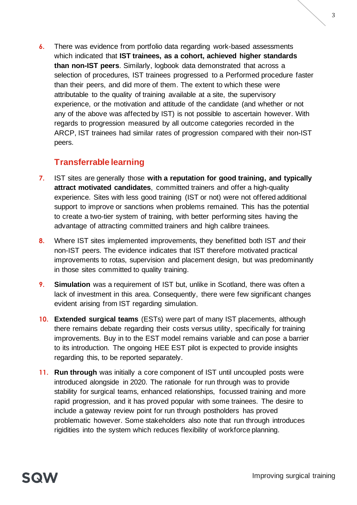**6.** There was evidence from portfolio data regarding work-based assessments which indicated that **IST trainees, as a cohort, achieved higher standards than non-IST peers**. Similarly, logbook data demonstrated that across a selection of procedures, IST trainees progressed to a Performed procedure faster than their peers, and did more of them. The extent to which these were attributable to the quality of training available at a site, the supervisory experience, or the motivation and attitude of the candidate (and whether or not any of the above was affected by IST) is not possible to ascertain however. With regards to progression measured by all outcome categories recorded in the ARCP, IST trainees had similar rates of progression compared with their non-IST peers.

### <span id="page-3-0"></span>**Transferrable learning**

- **7.** IST sites are generally those **with a reputation for good training, and typically attract motivated candidates**, committed trainers and offer a high-quality experience. Sites with less good training (IST or not) were not offered additional support to improve or sanctions when problems remained. This has the potential to create a two-tier system of training, with better performing sites having the advantage of attracting committed trainers and high calibre trainees.
- **8.** Where IST sites implemented improvements, they benefitted both IST *and* their non-IST peers. The evidence indicates that IST therefore motivated practical improvements to rotas, supervision and placement design, but was predominantly in those sites committed to quality training.
- **9. Simulation** was a requirement of IST but, unlike in Scotland, there was often a lack of investment in this area. Consequently, there were few significant changes evident arising from IST regarding simulation.
- **10. Extended surgical teams** (ESTs) were part of many IST placements, although there remains debate regarding their costs versus utility, specifically for training improvements. Buy in to the EST model remains variable and can pose a barrier to its introduction. The ongoing HEE EST pilot is expected to provide insights regarding this, to be reported separately.
- **11. Run through** was initially a core component of IST until uncoupled posts were introduced alongside in 2020. The rationale for run through was to provide stability for surgical teams, enhanced relationships, focussed training and more rapid progression, and it has proved popular with some trainees. The desire to include a gateway review point for run through postholders has proved problematic however. Some stakeholders also note that run through introduces rigidities into the system which reduces flexibility of workforce planning.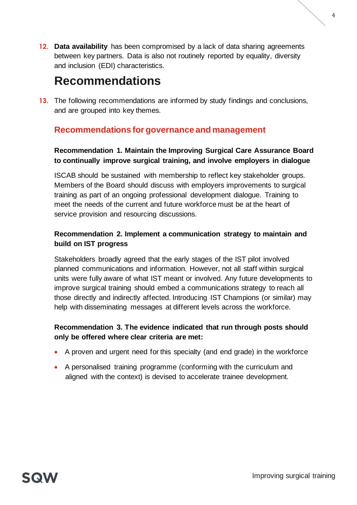**12. Data availability** has been compromised by a lack of data sharing agreements between key partners. Data is also not routinely reported by equality, diversity and inclusion (EDI) characteristics.

# <span id="page-4-0"></span>**Recommendations**

**13.** The following recommendations are informed by study findings and conclusions, and are grouped into key themes.

# <span id="page-4-1"></span>**Recommendations for governance and management**

#### **Recommendation 1. Maintain the Improving Surgical Care Assurance Board to continually improve surgical training, and involve employers in dialogue**

ISCAB should be sustained with membership to reflect key stakeholder groups. Members of the Board should discuss with employers improvements to surgical training as part of an ongoing professional development dialogue. Training to meet the needs of the current and future workforce must be at the heart of service provision and resourcing discussions.

#### **Recommendation 2. Implement a communication strategy to maintain and build on IST progress**

Stakeholders broadly agreed that the early stages of the IST pilot involved planned communications and information. However, not all staff within surgical units were fully aware of what IST meant or involved. Any future developments to improve surgical training should embed a communications strategy to reach all those directly and indirectly affected. Introducing IST Champions (or similar) may help with disseminating messages at different levels across the workforce.

#### **Recommendation 3. The evidence indicated that run through posts should only be offered where clear criteria are met:**

- A proven and urgent need for this specialty (and end grade) in the workforce
- A personalised training programme (conforming with the curriculum and aligned with the context) is devised to accelerate trainee development.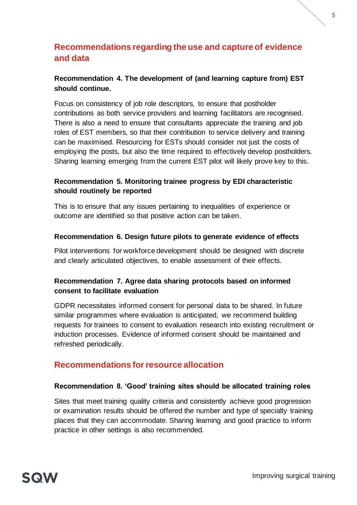# <span id="page-5-0"></span>**Recommendations regarding the use and capture of evidence and data**

#### **Recommendation 4. The development of (and learning capture from) EST should continue.**

Focus on consistency of job role descriptors, to ensure that postholder contributions as both service providers and learning facilitators are recognised. There is also a need to ensure that consultants appreciate the training and job roles of EST members, so that their contribution to service delivery and training can be maximised. Resourcing for ESTs should consider not just the costs of employing the posts, but also the time required to effectively develop postholders. Sharing learning emerging from the current EST pilot will likely prove key to this.

#### **Recommendation 5. Monitoring trainee progress by EDI characteristic should routinely be reported**

This is to ensure that any issues pertaining to inequalities of experience or outcome are identified so that positive action can be taken.

#### **Recommendation 6. Design future pilots to generate evidence of effects**

Pilot interventions for workforce development should be designed with discrete and clearly articulated objectives, to enable assessment of their effects.

#### **Recommendation 7. Agree data sharing protocols based on informed consent to facilitate evaluation**

GDPR necessitates informed consent for personal data to be shared. In future similar programmes where evaluation is anticipated, we recommend building requests for trainees to consent to evaluation research into existing recruitment or induction processes. Evidence of informed consent should be maintained and refreshed periodically.

### <span id="page-5-1"></span>**Recommendations for resource allocation**

#### **Recommendation 8. 'Good' training sites should be allocated training roles**

Sites that meet training quality criteria and consistently achieve good progression or examination results should be offered the number and type of specialty training places that they can accommodate. Sharing learning and good practice to inform practice in other settings is also recommended.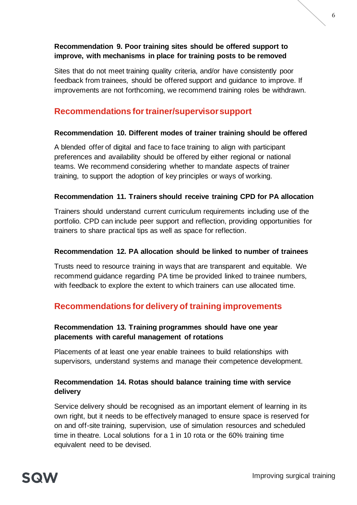#### **Recommendation 9. Poor training sites should be offered support to improve, with mechanisms in place for training posts to be removed**

Sites that do not meet training quality criteria, and/or have consistently poor feedback from trainees, should be offered support and guidance to improve. If improvements are not forthcoming, we recommend training roles be withdrawn.

# <span id="page-6-0"></span>**Recommendations for trainer/supervisor support**

#### **Recommendation 10. Different modes of trainer training should be offered**

A blended offer of digital and face to face training to align with participant preferences and availability should be offered by either regional or national teams. We recommend considering whether to mandate aspects of trainer training, to support the adoption of key principles or ways of working.

#### **Recommendation 11. Trainers should receive training CPD for PA allocation**

Trainers should understand current curriculum requirements including use of the portfolio. CPD can include peer support and reflection, providing opportunities for trainers to share practical tips as well as space for reflection.

#### **Recommendation 12. PA allocation should be linked to number of trainees**

Trusts need to resource training in ways that are transparent and equitable. We recommend guidance regarding PA time be provided linked to trainee numbers, with feedback to explore the extent to which trainers can use allocated time.

#### <span id="page-6-1"></span>**Recommendations for delivery of training improvements**

#### **Recommendation 13. Training programmes should have one year placements with careful management of rotations**

Placements of at least one year enable trainees to build relationships with supervisors, understand systems and manage their competence development.

#### **Recommendation 14. Rotas should balance training time with service delivery**

Service delivery should be recognised as an important element of learning in its own right, but it needs to be effectively managed to ensure space is reserved for on and off-site training, supervision, use of simulation resources and scheduled time in theatre. Local solutions for a 1 in 10 rota or the 60% training time equivalent need to be devised.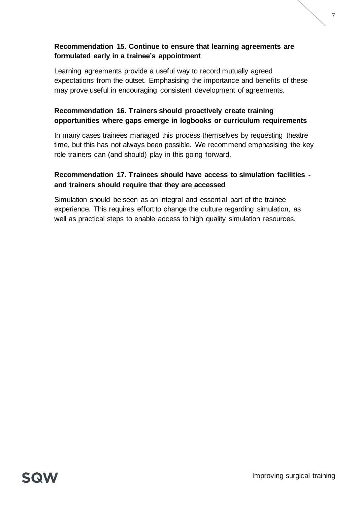#### **Recommendation 15. Continue to ensure that learning agreements are formulated early in a trainee's appointment**

Learning agreements provide a useful way to record mutually agreed expectations from the outset. Emphasising the importance and benefits of these may prove useful in encouraging consistent development of agreements.

#### **Recommendation 16. Trainers should proactively create training opportunities where gaps emerge in logbooks or curriculum requirements**

In many cases trainees managed this process themselves by requesting theatre time, but this has not always been possible. We recommend emphasising the key role trainers can (and should) play in this going forward.

#### **Recommendation 17. Trainees should have access to simulation facilities and trainers should require that they are accessed**

Simulation should be seen as an integral and essential part of the trainee experience. This requires effort to change the culture regarding simulation, as well as practical steps to enable access to high quality simulation resources.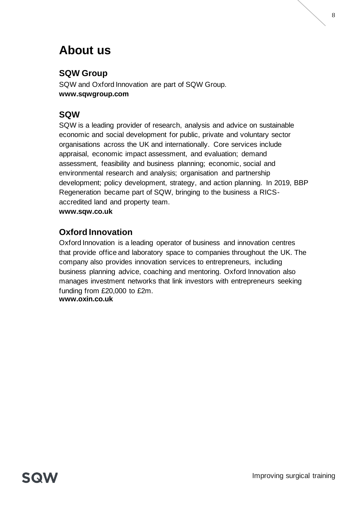# **About us**

# **SQW Group**

SQW and Oxford Innovation are part of SQW Group. **www.sqwgroup.com**

# **SQW**

SQW is a leading provider of research, analysis and advice on sustainable economic and social development for public, private and voluntary sector organisations across the UK and internationally. Core services include appraisal, economic impact assessment, and evaluation; demand assessment, feasibility and business planning; economic, social and environmental research and analysis; organisation and partnership development; policy development, strategy, and action planning. In 2019, BBP Regeneration became part of SQW, bringing to the business a RICSaccredited land and property team.

**www.sqw.co.uk**

### **Oxford Innovation**

Oxford Innovation is a leading operator of business and innovation centres that provide office and laboratory space to companies throughout the UK. The company also provides innovation services to entrepreneurs, including business planning advice, coaching and mentoring. Oxford Innovation also manages investment networks that link investors with entrepreneurs seeking funding from £20,000 to £2m. **www.oxin.co.uk**

SQW